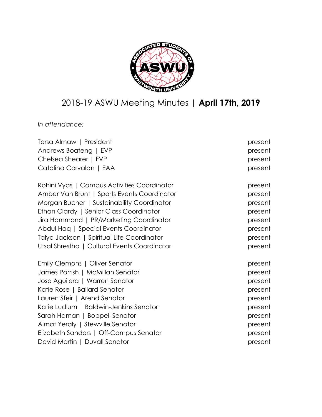

# 2018-19 ASWU Meeting Minutes | **April 17th, 2019**

*In attendance:*

| Tersa Almaw   President                      | present |
|----------------------------------------------|---------|
| Andrews Boateng   EVP                        | present |
| Chelsea Shearer   FVP                        | present |
| Catalina Corvalan   EAA                      | present |
| Rohini Vyas   Campus Activities Coordinator  | present |
| Amber Van Brunt   Sports Events Coordinator  | present |
| Morgan Bucher   Sustainability Coordinator   | present |
| Ethan Clardy   Senior Class Coordinator      | present |
| Jira Hammond   PR/Marketing Coordinator      | present |
| Abdul Haq   Special Events Coordinator       | present |
| Talya Jackson   Spiritual Life Coordinator   | present |
| Utsal Shrestha   Cultural Events Coordinator | present |
| Emily Clemons   Oliver Senator               | present |
| James Parrish   McMillan Senator             | present |
| Jose Aguilera   Warren Senator               | present |
| Katie Rose   Ballard Senator                 | present |
| Lauren Sfeir   Arend Senator                 | present |
| Katie Ludlum   Baldwin-Jenkins Senator       | present |
| Sarah Haman   Boppell Senator                | present |
| Almat Yeraly   Stewville Senator             | present |
| Elizabeth Sanders   Off-Campus Senator       | present |
| David Martin   Duvall Senator                | present |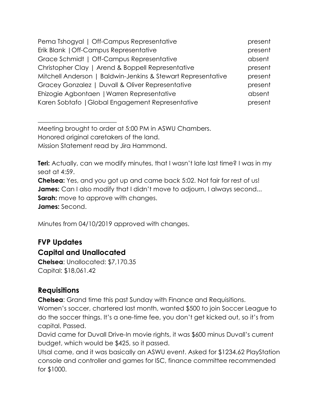| Pema Tshogyal   Off-Campus Representative                    | present |
|--------------------------------------------------------------|---------|
| Erik Blank   Off-Campus Representative                       | present |
| Grace Schmidt   Off-Campus Representative                    | absent  |
| Christopher Clay   Arend & Boppell Representative            | present |
| Mitchell Anderson   Baldwin-Jenkins & Stewart Representative | present |
| Gracey Gonzalez   Duvall & Oliver Representative             | present |
| Ehizogie Agbontaen   Warren Representative                   | absent  |
| Karen Sobtafo   Global Engagement Representative             | present |

Meeting brought to order at 5:00 PM in ASWU Chambers. Honored original caretakers of the land. Mission Statement read by Jira Hammond.

**Teri:** Actually, can we modify minutes, that I wasn't late last time? I was in my seat at 4:59. **Chelsea:** Yes, and you got up and came back 5:02. Not fair for rest of us! **James:** Can I also modify that I didn't move to adjourn, I always second... **Sarah:** move to approve with changes. **James:** Second.

Minutes from 04/10/2019 approved with changes.

## **FVP Updates**

## **Capital and Unallocated**

 $\overline{\phantom{a}}$  , where  $\overline{\phantom{a}}$  , where  $\overline{\phantom{a}}$  , where  $\overline{\phantom{a}}$  , where  $\overline{\phantom{a}}$ 

**Chelsea**: Unallocated: \$7,170.35 Capital: \$18,061.42

## **Requisitions**

**Chelsea**: Grand time this past Sunday with Finance and Requisitions.

Women's soccer, chartered last month, wanted \$500 to join Soccer League to do the soccer things. It's a one-time fee, you don't get kicked out, so it's from capital. Passed.

David came for Duvall Drive-In movie rights, it was \$600 minus Duvall's current budget, which would be \$425, so it passed.

Utsal came, and it was basically an ASWU event. Asked for \$1234.62 PlayStation console and controller and games for ISC, finance committee recommended for \$1000.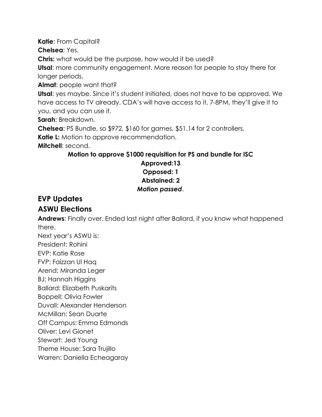**Katie**: From Capital?

**Chelsea**; Yes.

**Chris:** what would be the purpose, how would it be used?

**Utsal**: more community engagement. More reason for people to stay there for longer periods.

**Almat**: people want that?

**Utsal**: yes maybe. Since it's student initiated, does not have to be approved. We have access to TV already. CDA's will have access to it, 7-8PM, they'll give it to you, and you can use it.

**Sarah**: Breakdown.

**Chelsea**: PS Bundle, so \$972, \$160 for games, \$51.14 for 2 controllers,

**Katie L:** Motion to approve recommendation.

**Mitchell**: second.

#### **Motion to approve \$1000 requisition for PS and bundle for ISC Approved:13 Opposed: 1 Abstained: 2** *Motion passed*.

# **EVP Updates**

## **ASWU Elections**

**Andrews**: Finally over. Ended last night after Ballard, if you know what happened there.

Next year's ASWU is: President: Rohini EVP: Katie Rose FVP: Faizzan Ul Haq Arend: Miranda Leger BJ: Hannah Higgins Ballard: Elizabeth Puskarits Boppell: Olivia Fowler Duvall: Alexander Henderson McMillan: Sean Duarte Off Campus: Emma Edmonds Oliver: Levi Gionet Stewart: Jed Young Theme House: Sara Trujillo

Warren: Daniella Echeagaray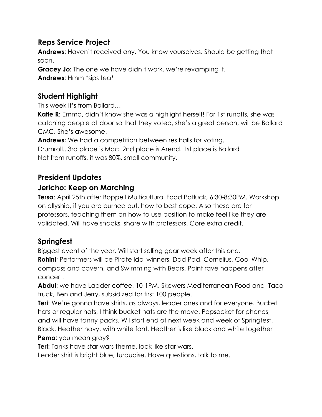## **Reps Service Project**

**Andrews**: Haven't received any. You know yourselves. Should be getting that soon.

**Gracey Jo:** The one we have didn't work, we're revamping it. **Andrews**: Hmm \*sips tea\*

## **Student Highlight**

This week it's from Ballard…

**Katie R**: Emma, didn't know she was a highlight herself! For 1st runoffs, she was catching people at door so that they voted, she's a great person, will be Ballard CMC. She's awesome.

**Andrews**; We had a competition between res halls for voting. Drumroll...3rd place is Mac. 2nd place is Arend. 1st place is Ballard Not from runoffs, it was 80%, small community.

## **President Updates**

#### **Jericho: Keep on Marching**

**Tersa**: April 25th after Boppell Multicultural Food Potluck, 6:30-8:30PM. Workshop on allyship, if you are burned out, how to best cope. Also these are for professors, teaching them on how to use position to make feel like they are validated. Will have snacks, share with professors. Core extra credit.

#### **Springfest**

Biggest event of the year. Will start selling gear week after this one. **Rohini**; Performers will be Pirate Idol winners, Dad Pad, Cornelius, Cool Whip, compass and cavern, and Swimming with Bears. Paint rave happens after concert.

**Abdul**: we have Ladder coffee, 10-1PM, Skewers Mediterranean Food and Taco truck, Ben and Jerry, subsidized for first 100 people.

**Teri**: We're gonna have shirts, as always, leader ones and for everyone. Bucket hats or regular hats, I think bucket hats are the move. Popsocket for phones, and will have fanny packs. Wil start end of next week and week of Springfest. Black, Heather navy, with white font. Heather is like black and white together **Pema**: you mean gray?

**Teri**: Tanks have star wars theme, look like star wars.

Leader shirt is bright blue, turquoise. Have questions, talk to me.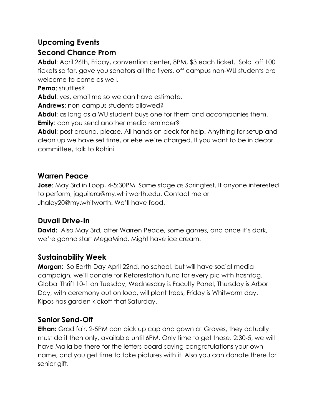# **Upcoming Events**

## **Second Chance Prom**

**Abdul**: April 26th, Friday, convention center, 8PM, \$3 each ticket. Sold off 100 tickets so far, gave you senators all the flyers, off campus non-WU students are welcome to come as well.

**Pema: shuttles?** 

**Abdul**: yes, email me so we can have estimate.

**Andrews**: non-campus students allowed?

**Abdul**: as long as a WU student buys one for them and accompanies them.

**Emily**: can you send another media reminder?

**Abdul**: post around, please. All hands on deck for help. Anything for setup and clean up we have set time, or else we're charged. If you want to be in decor committee, talk to Rohini.

# **Warren Peace**

**Jose**: May 3rd in Loop, 4-5:30PM. Same stage as Springfest. If anyone interested to perform, jaguilera@my.whitworth.edu. Contact me or Jhaley20@my.whitworth. We'll have food.

# **Duvall Drive-In**

**David:** Also May 3rd, after Warren Peace, some games, and once it's dark, we're gonna start MegaMind. Might have ice cream.

# **Sustainability Week**

**Morgan:** So Earth Day April 22nd, no school, but will have social media campaign, we'll donate for Reforestation fund for every pic with hashtag. Global Thrift 10-1 on Tuesday, Wednesday is Faculty Panel, Thursday is Arbor Day, with ceremony out on loop, will plant trees, Friday is Whitworm day. Kipos has garden kickoff that Saturday.

# **Senior Send-Off**

**Ethan:** Grad fair, 2-5PM can pick up cap and gown at Graves, they actually must do it then only, available until 6PM. Only time to get those. 2:30-5, we will have Malia be there for the letters board saying congratulations your own name, and you get time to take pictures with it. Also you can donate there for senior gift.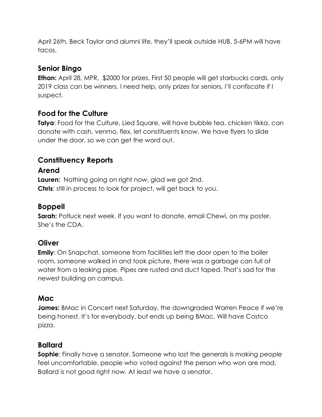April 26th, Beck Taylor and alumni life, they'll speak outside HUB, 5-6PM will have tacos.

#### **Senior Bingo**

**Ethan:** April 28, MPR, \$2000 for prizes. First 50 people will get starbucks cards. only 2019 class can be winners. I need help, only prizes for seniors, I'll confiscate if I suspect.

#### **Food for the Culture**

**Talya**: Food for the Culture, Lied Square, will have bubble tea, chicken tikka, can donate with cash, venmo, flex, let constituents know. We have flyers to slide under the door, so we can get the word out.

#### **Constituency Reports**

#### **Arend**

**Lauren:** Nothing going on right now, glad we got 2nd. **Chris**: still in process to look for project, will get back to you.

#### **Boppell**

**Sarah:** Potluck next week. If you want to donate, email Chewi, on my poster. She's the CDA.

#### **Oliver**

**Emily**: On Snapchat, someone from facilities left the door open to the boiler room, someone walked in and took picture, there was a garbage can full of water from a leaking pipe. Pipes are rusted and duct taped. That's sad for the newest building on campus.

#### **Mac**

**James:** BMac in Concert next Saturday, the downgraded Warren Peace if we're being honest. It's for everybody, but ends up being BMac. Will have Costco pizza.

#### **Ballard**

**Sophie**: Finally have a senator. Someone who lost the generals is making people feel uncomfortable, people who voted against the person who won are mad, Ballard is not good right now. At least we have a senator.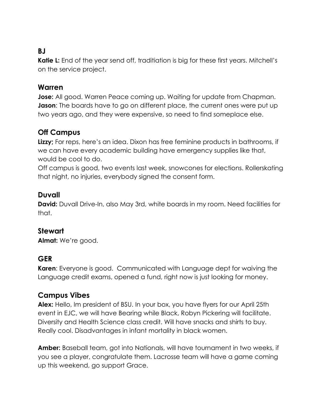## **BJ**

Katie L: End of the year send off, traditiation is big for these first years. Mitchell's on the service project.

#### **Warren**

**Jose:** All good. Warren Peace coming up. Waiting for update from Chapman. **Jason**: The boards have to go on different place, the current ones were put up two years ago, and they were expensive, so need to find someplace else.

## **Off Campus**

**Lizzy;** For reps, here's an idea. Dixon has free feminine products in bathrooms, if we can have every academic building have emergency supplies like that, would be cool to do.

Off campus is good, two events last week, snowcones for elections. Rollerskating that night, no injuries, everybody signed the consent form.

#### **Duvall**

**David:** Duvall Drive-In, also May 3rd, white boards in my room. Need facilities for that.

#### **Stewart**

**Almat:** We're good.

#### **GER**

**Karen**: Everyone is good. Communicated with Language dept for waiving the Language credit exams, opened a fund, right now is just looking for money.

#### **Campus Vibes**

**Alex:** Hello, Im president of BSU. In your box, you have flyers for our April 25th event in EJC, we will have Bearing while Black, Robyn Pickering will facilitate. Diversity and Health Science class credit. Will have snacks and shirts to buy. Really cool. Disadvantages in infant mortality in black women.

**Amber:** Baseball team, got into Nationals, will have tournament in two weeks, if you see a player, congratulate them. Lacrosse team will have a game coming up this weekend, go support Grace.